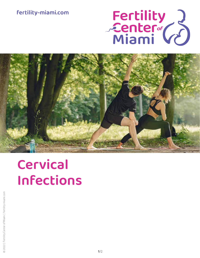# fertility-miami.com

# Fertility<br>Center (2)



# Cervical Infections